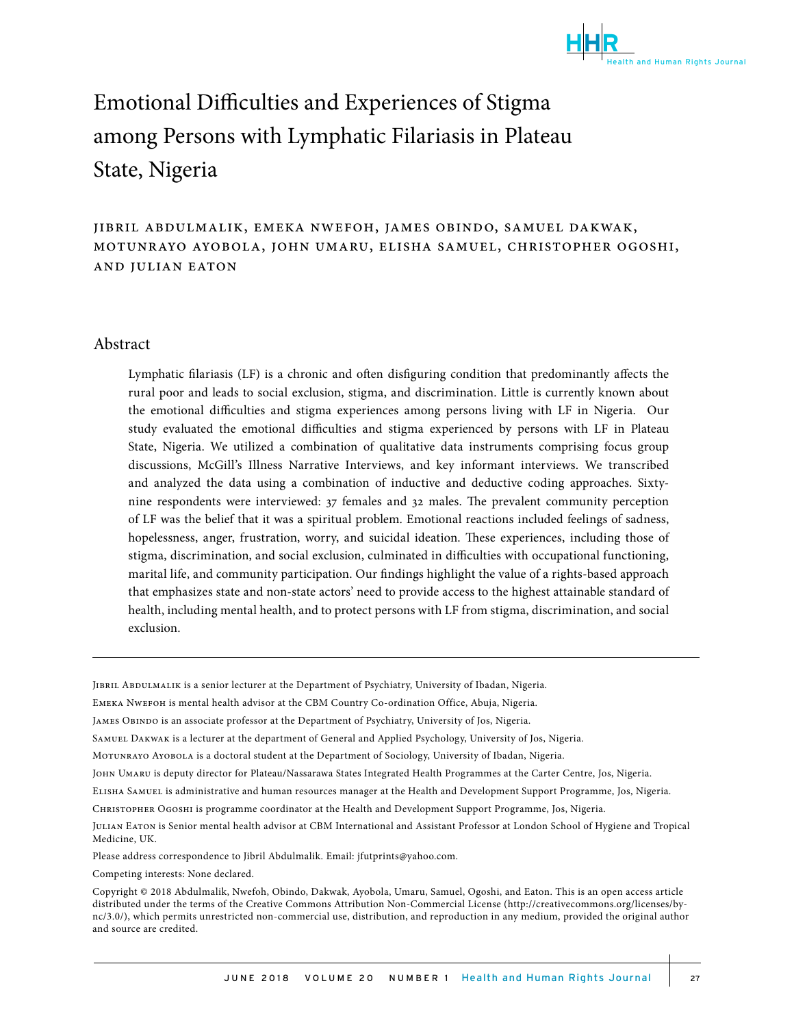

# Emotional Difficulties and Experiences of Stigma. among Persons with Lymphatic Filariasis in Plateau State, Nigeria

jibril abdulmalik, emeka nwefoh, james obindo, samuel dakwak, motunrayo ayobola, john umaru, elisha samuel, christopher ogoshi, and julian eaton

#### Abstract

Lymphatic filariasis (LF) is a chronic and often disfiguring condition that predominantly affects the rural poor and leads to social exclusion, stigma, and discrimination. Little is currently known about the emotional difficulties and stigma experiences among persons living with LF in Nigeria. Our study evaluated the emotional difficulties and stigma experienced by persons with LF in Plateau State, Nigeria. We utilized a combination of qualitative data instruments comprising focus group discussions, McGill's Illness Narrative Interviews, and key informant interviews. We transcribed and analyzed the data using a combination of inductive and deductive coding approaches. Sixtynine respondents were interviewed: 37 females and 32 males. The prevalent community perception of LF was the belief that it was a spiritual problem. Emotional reactions included feelings of sadness, hopelessness, anger, frustration, worry, and suicidal ideation. These experiences, including those of stigma, discrimination, and social exclusion, culminated in difficulties with occupational functioning, marital life, and community participation. Our findings highlight the value of a rights-based approach that emphasizes state and non-state actors' need to provide access to the highest attainable standard of health, including mental health, and to protect persons with LF from stigma, discrimination, and social exclusion.

Jibril Abdulmalik is a senior lecturer at the Department of Psychiatry, University of Ibadan, Nigeria.

EMEKA NWEFOH is mental health advisor at the CBM Country Co-ordination Office, Abuja, Nigeria.

JAMES OBINDO is an associate professor at the Department of Psychiatry, University of Jos, Nigeria.

Samuel Dakwak is a lecturer at the department of General and Applied Psychology, University of Jos, Nigeria.

Motunrayo Ayobola is a doctoral student at the Department of Sociology, University of Ibadan, Nigeria.

John Umaru is deputy director for Plateau/Nassarawa States Integrated Health Programmes at the Carter Centre, Jos, Nigeria.

Elisha Samuel is administrative and human resources manager at the Health and Development Support Programme, Jos, Nigeria.

Christopher Ogoshi is programme coordinator at the Health and Development Support Programme, Jos, Nigeria.

Julian Eaton is Senior mental health advisor at CBM International and Assistant Professor at London School of Hygiene and Tropical Medicine, UK.

Please address correspondence to Jibril Abdulmalik. Email: jfutprints@yahoo.com.

Competing interests: None declared.

Copyright © 2018 Abdulmalik, Nwefoh, Obindo, Dakwak, Ayobola, Umaru, Samuel, Ogoshi, and Eaton. This is an open access article distributed under the terms of the Creative Commons Attribution Non-Commercial License (http://creativecommons.org/licenses/bync/3.0/), which permits unrestricted non-commercial use, distribution, and reproduction in any medium, provided the original author and source are credited.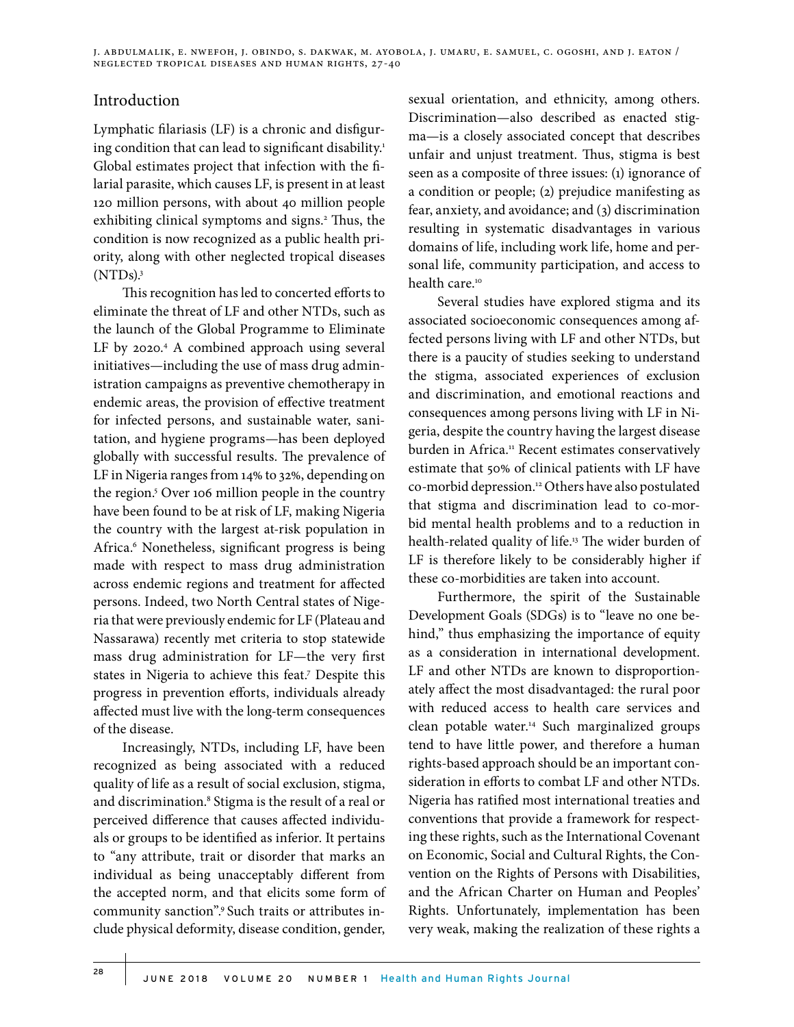### Introduction

Lymphatic filariasis (LF) is a chronic and disfiguring condition that can lead to significant disability.<sup>1</sup> Global estimates project that infection with the filarial parasite, which causes LF, is present in at least 120 million persons, with about 40 million people exhibiting clinical symptoms and signs.<sup>2</sup> Thus, the condition is now recognized as a public health priority, along with other neglected tropical diseases  $(NTDs).$ <sup>3</sup>

This recognition has led to concerted efforts to eliminate the threat of LF and other NTDs, such as the launch of the Global Programme to Eliminate LF by 2020.<sup>4</sup> A combined approach using several initiatives—including the use of mass drug administration campaigns as preventive chemotherapy in endemic areas, the provision of effective treatment for infected persons, and sustainable water, sanitation, and hygiene programs—has been deployed globally with successful results. The prevalence of LF in Nigeria ranges from 14% to 32%, depending on the region.<sup>5</sup> Over 106 million people in the country have been found to be at risk of LF, making Nigeria the country with the largest at-risk population in Africa.6 Nonetheless, significant progress is being made with respect to mass drug administration across endemic regions and treatment for affected persons. Indeed, two North Central states of Nigeria that were previously endemic for LF (Plateau and Nassarawa) recently met criteria to stop statewide mass drug administration for LF—the very first states in Nigeria to achieve this feat.<sup>7</sup> Despite this progress in prevention efforts, individuals already affected must live with the long-term consequences of the disease.

Increasingly, NTDs, including LF, have been recognized as being associated with a reduced quality of life as a result of social exclusion, stigma, and discrimination.8 Stigma is the result of a real or perceived difference that causes affected individuals or groups to be identified as inferior. It pertains to "any attribute, trait or disorder that marks an individual as being unacceptably different from the accepted norm, and that elicits some form of community sanction".9 Such traits or attributes include physical deformity, disease condition, gender,

sexual orientation, and ethnicity, among others. Discrimination—also described as enacted stigma—is a closely associated concept that describes unfair and unjust treatment. Thus, stigma is best seen as a composite of three issues: (1) ignorance of a condition or people; (2) prejudice manifesting as fear, anxiety, and avoidance; and (3) discrimination resulting in systematic disadvantages in various domains of life, including work life, home and personal life, community participation, and access to health care.<sup>10</sup>

Several studies have explored stigma and its associated socioeconomic consequences among affected persons living with LF and other NTDs, but there is a paucity of studies seeking to understand the stigma, associated experiences of exclusion and discrimination, and emotional reactions and consequences among persons living with LF in Nigeria, despite the country having the largest disease burden in Africa.<sup>11</sup> Recent estimates conservatively estimate that 50% of clinical patients with LF have co-morbid depression.12 Others have also postulated that stigma and discrimination lead to co-morbid mental health problems and to a reduction in health-related quality of life.<sup>13</sup> The wider burden of LF is therefore likely to be considerably higher if these co-morbidities are taken into account.

Furthermore, the spirit of the Sustainable Development Goals (SDGs) is to "leave no one behind," thus emphasizing the importance of equity as a consideration in international development. LF and other NTDs are known to disproportionately affect the most disadvantaged: the rural poor with reduced access to health care services and clean potable water.14 Such marginalized groups tend to have little power, and therefore a human rights-based approach should be an important consideration in efforts to combat LF and other NTDs. Nigeria has ratified most international treaties and conventions that provide a framework for respecting these rights, such as the International Covenant on Economic, Social and Cultural Rights, the Convention on the Rights of Persons with Disabilities, and the African Charter on Human and Peoples' Rights. Unfortunately, implementation has been very weak, making the realization of these rights a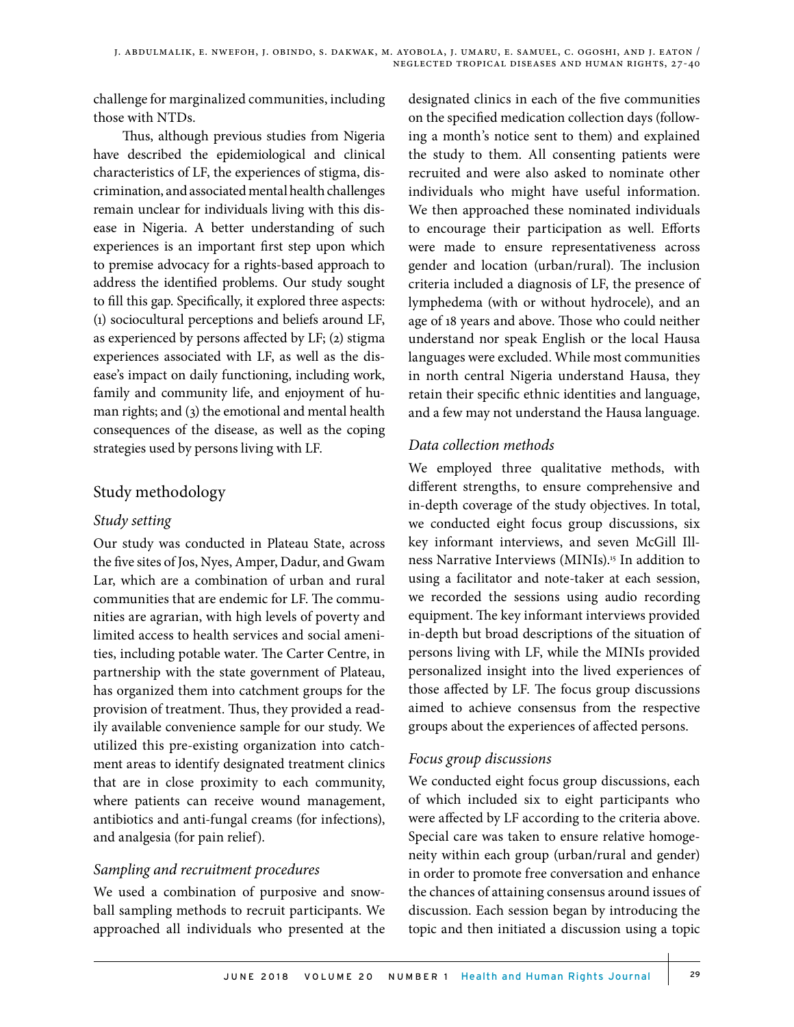challenge for marginalized communities, including those with NTDs.

Thus, although previous studies from Nigeria have described the epidemiological and clinical characteristics of LF, the experiences of stigma, discrimination, and associated mental health challenges remain unclear for individuals living with this disease in Nigeria. A better understanding of such experiences is an important first step upon which to premise advocacy for a rights-based approach to address the identified problems. Our study sought to fill this gap. Specifically, it explored three aspects: (1) sociocultural perceptions and beliefs around LF, as experienced by persons affected by LF; (2) stigma experiences associated with LF, as well as the disease's impact on daily functioning, including work, family and community life, and enjoyment of human rights; and (3) the emotional and mental health consequences of the disease, as well as the coping strategies used by persons living with LF.

# Study methodology

#### *Study setting*

Our study was conducted in Plateau State, across the five sites of Jos, Nyes, Amper, Dadur, and Gwam Lar, which are a combination of urban and rural communities that are endemic for LF. The communities are agrarian, with high levels of poverty and limited access to health services and social amenities, including potable water. The Carter Centre, in partnership with the state government of Plateau, has organized them into catchment groups for the provision of treatment. Thus, they provided a readily available convenience sample for our study. We utilized this pre-existing organization into catchment areas to identify designated treatment clinics that are in close proximity to each community, where patients can receive wound management, antibiotics and anti-fungal creams (for infections), and analgesia (for pain relief).

### *Sampling and recruitment procedures*

We used a combination of purposive and snowball sampling methods to recruit participants. We approached all individuals who presented at the designated clinics in each of the five communities on the specified medication collection days (following a month's notice sent to them) and explained the study to them. All consenting patients were recruited and were also asked to nominate other individuals who might have useful information. We then approached these nominated individuals to encourage their participation as well. Efforts were made to ensure representativeness across gender and location (urban/rural). The inclusion criteria included a diagnosis of LF, the presence of lymphedema (with or without hydrocele), and an age of 18 years and above. Those who could neither understand nor speak English or the local Hausa languages were excluded. While most communities in north central Nigeria understand Hausa, they retain their specific ethnic identities and language, and a few may not understand the Hausa language.

### *Data collection methods*

We employed three qualitative methods, with different strengths, to ensure comprehensive and in-depth coverage of the study objectives. In total, we conducted eight focus group discussions, six key informant interviews, and seven McGill Illness Narrative Interviews (MINIs).15 In addition to using a facilitator and note-taker at each session, we recorded the sessions using audio recording equipment. The key informant interviews provided in-depth but broad descriptions of the situation of persons living with LF, while the MINIs provided personalized insight into the lived experiences of those affected by LF. The focus group discussions aimed to achieve consensus from the respective groups about the experiences of affected persons.

### *Focus group discussions*

We conducted eight focus group discussions, each of which included six to eight participants who were affected by LF according to the criteria above. Special care was taken to ensure relative homogeneity within each group (urban/rural and gender) in order to promote free conversation and enhance the chances of attaining consensus around issues of discussion. Each session began by introducing the topic and then initiated a discussion using a topic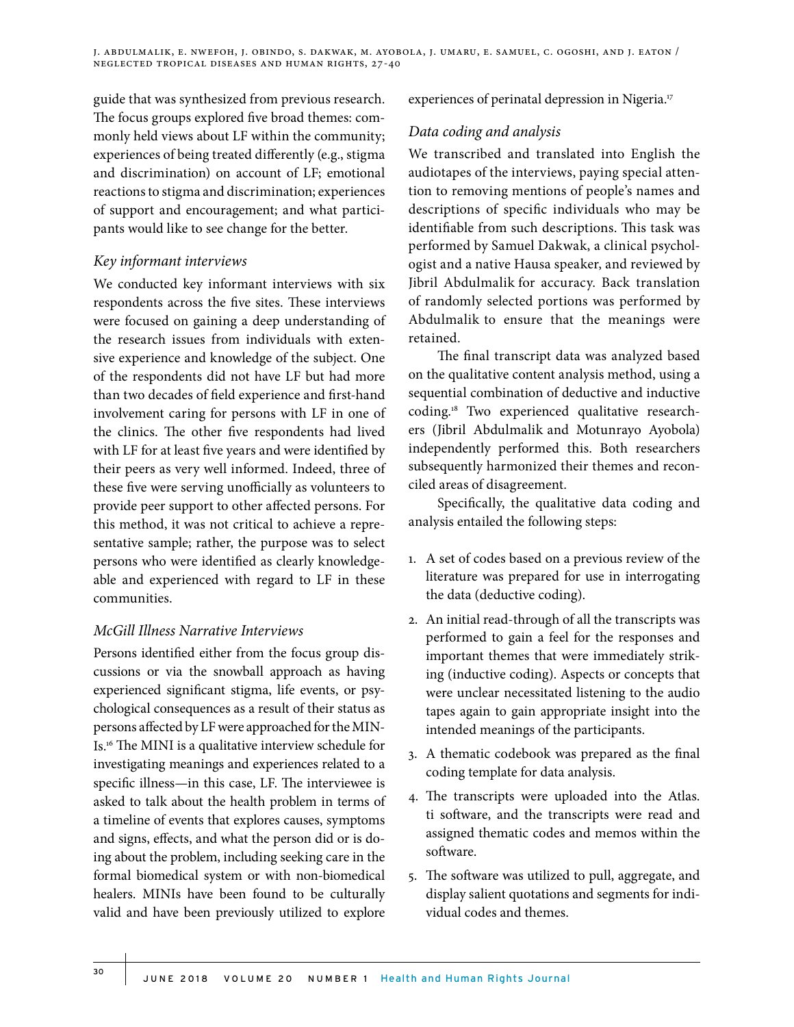guide that was synthesized from previous research. The focus groups explored five broad themes: commonly held views about LF within the community; experiences of being treated differently (e.g., stigma and discrimination) on account of LF; emotional reactions to stigma and discrimination; experiences of support and encouragement; and what participants would like to see change for the better.

### *Key informant interviews*

We conducted key informant interviews with six respondents across the five sites. These interviews were focused on gaining a deep understanding of the research issues from individuals with extensive experience and knowledge of the subject. One of the respondents did not have LF but had more than two decades of field experience and first-hand involvement caring for persons with LF in one of the clinics. The other five respondents had lived with LF for at least five years and were identified by their peers as very well informed. Indeed, three of these five were serving unofficially as volunteers to provide peer support to other affected persons. For this method, it was not critical to achieve a representative sample; rather, the purpose was to select persons who were identified as clearly knowledgeable and experienced with regard to LF in these communities.

### *McGill Illness Narrative Interviews*

Persons identified either from the focus group discussions or via the snowball approach as having experienced significant stigma, life events, or psychological consequences as a result of their status as persons affected by LF were approached for the MIN-Is.16 The MINI is a qualitative interview schedule for investigating meanings and experiences related to a specific illness—in this case, LF. The interviewee is asked to talk about the health problem in terms of a timeline of events that explores causes, symptoms and signs, effects, and what the person did or is doing about the problem, including seeking care in the formal biomedical system or with non-biomedical healers. MINIs have been found to be culturally valid and have been previously utilized to explore

experiences of perinatal depression in Nigeria.<sup>17</sup>

### *Data coding and analysis*

We transcribed and translated into English the audiotapes of the interviews, paying special attention to removing mentions of people's names and descriptions of specific individuals who may be identifiable from such descriptions. This task was performed by Samuel Dakwak, a clinical psychologist and a native Hausa speaker, and reviewed by Jibril Abdulmalik for accuracy. Back translation of randomly selected portions was performed by Abdulmalik to ensure that the meanings were retained.

The final transcript data was analyzed based on the qualitative content analysis method, using a sequential combination of deductive and inductive coding.18 Two experienced qualitative researchers (Jibril Abdulmalik and Motunrayo Ayobola) independently performed this. Both researchers subsequently harmonized their themes and reconciled areas of disagreement.

Specifically, the qualitative data coding and analysis entailed the following steps:

- 1. A set of codes based on a previous review of the literature was prepared for use in interrogating the data (deductive coding).
- 2. An initial read-through of all the transcripts was performed to gain a feel for the responses and important themes that were immediately striking (inductive coding). Aspects or concepts that were unclear necessitated listening to the audio tapes again to gain appropriate insight into the intended meanings of the participants.
- 3. A thematic codebook was prepared as the final coding template for data analysis.
- 4. The transcripts were uploaded into the Atlas. ti software, and the transcripts were read and assigned thematic codes and memos within the software.
- 5. The software was utilized to pull, aggregate, and display salient quotations and segments for individual codes and themes.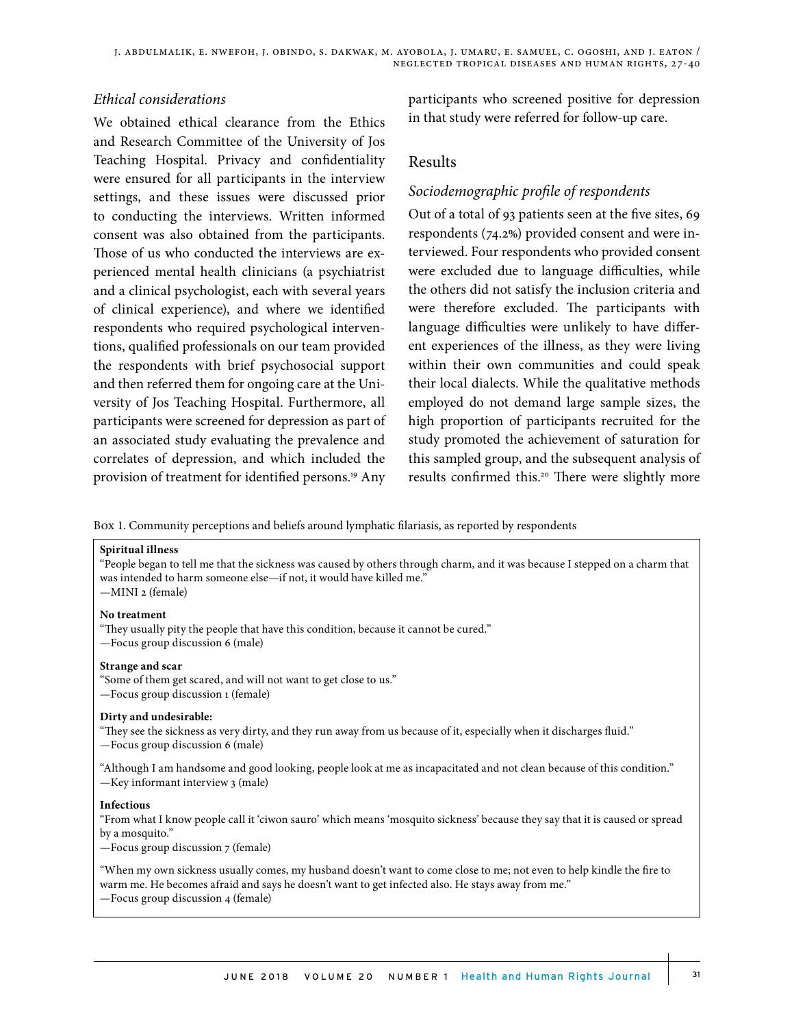#### *Ethical considerations*

We obtained ethical clearance from the Ethics and Research Committee of the University of Jos Teaching Hospital. Privacy and confidentiality were ensured for all participants in the interview settings, and these issues were discussed prior to conducting the interviews. Written informed consent was also obtained from the participants. Those of us who conducted the interviews are experienced mental health clinicians (a psychiatrist and a clinical psychologist, each with several years of clinical experience), and where we identified respondents who required psychological interventions, qualified professionals on our team provided the respondents with brief psychosocial support and then referred them for ongoing care at the University of Jos Teaching Hospital. Furthermore, all participants were screened for depression as part of an associated study evaluating the prevalence and correlates of depression, and which included the provision of treatment for identified persons.<sup>19</sup> Any participants who screened positive for depression in that study were referred for follow-up care.

#### Results

#### *Sociodemographic profile of respondents*

Out of a total of 93 patients seen at the five sites, 69 respondents (74.2%) provided consent and were interviewed. Four respondents who provided consent were excluded due to language difficulties, while the others did not satisfy the inclusion criteria and were therefore excluded. The participants with language difficulties were unlikely to have different experiences of the illness, as they were living within their own communities and could speak their local dialects. While the qualitative methods employed do not demand large sample sizes, the high proportion of participants recruited for the study promoted the achievement of saturation for this sampled group, and the subsequent analysis of results confirmed this.<sup>20</sup> There were slightly more

Box 1. Community perceptions and beliefs around lymphatic filariasis, as reported by respondents

#### **Spiritual illness**

"People began to tell me that the sickness was caused by others through charm, and it was because I stepped on a charm that was intended to harm someone else—if not, it would have killed me." —MINI 2 (female)

#### **No treatment**

"They usually pity the people that have this condition, because it cannot be cured." —Focus group discussion 6 (male)

#### **Strange and scar**

"Some of them get scared, and will not want to get close to us."

—Focus group discussion 1 (female)

#### **Dirty and undesirable:**

"They see the sickness as very dirty, and they run away from us because of it, especially when it discharges fluid." —Focus group discussion 6 (male)

"Although I am handsome and good looking, people look at me as incapacitated and not clean because of this condition." —Key informant interview 3 (male)

#### **Infectious**

"From what I know people call it 'ciwon sauro' which means 'mosquito sickness' because they say that it is caused or spread by a mosquito."

—Focus group discussion 7 (female)

"When my own sickness usually comes, my husband doesn't want to come close to me; not even to help kindle the fire to warm me. He becomes afraid and says he doesn't want to get infected also. He stays away from me."

—Focus group discussion 4 (female)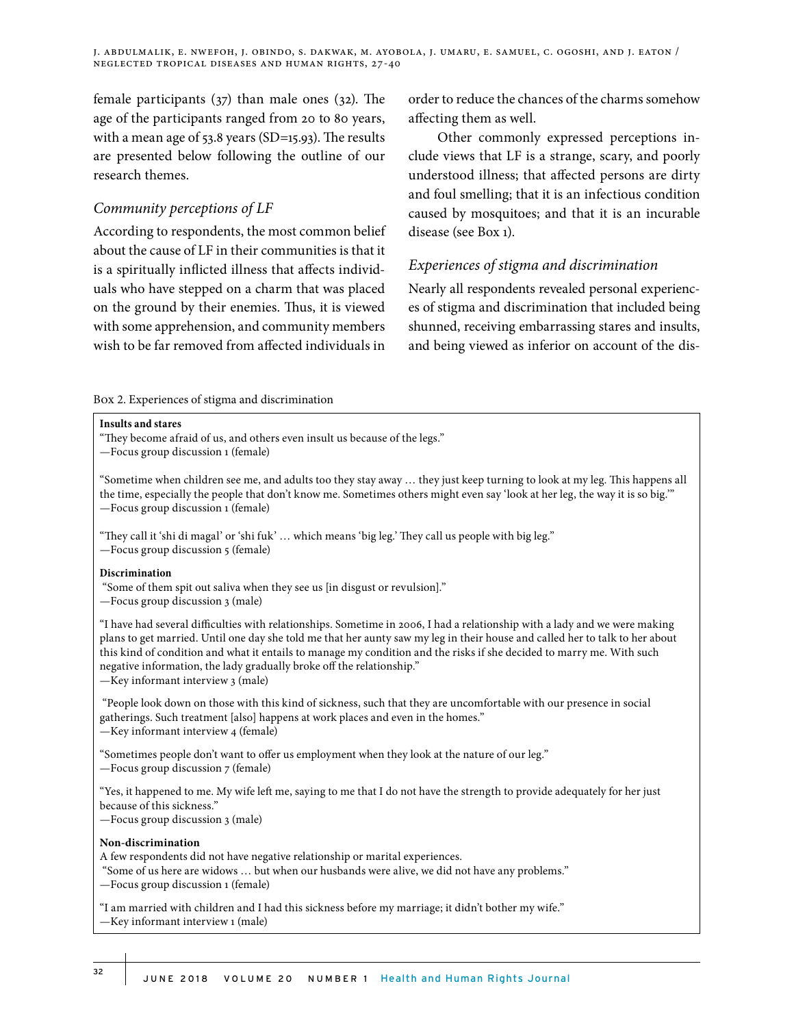female participants (37) than male ones (32). The age of the participants ranged from 20 to 80 years, with a mean age of 53.8 years (SD=15.93). The results are presented below following the outline of our research themes.

#### *Community perceptions of LF*

According to respondents, the most common belief about the cause of LF in their communities is that it is a spiritually inflicted illness that affects individuals who have stepped on a charm that was placed on the ground by their enemies. Thus, it is viewed with some apprehension, and community members wish to be far removed from affected individuals in order to reduce the chances of the charms somehow affecting them as well.

Other commonly expressed perceptions include views that LF is a strange, scary, and poorly understood illness; that affected persons are dirty and foul smelling; that it is an infectious condition caused by mosquitoes; and that it is an incurable disease (see Box 1).

# *Experiences of stigma and discrimination*

Nearly all respondents revealed personal experiences of stigma and discrimination that included being shunned, receiving embarrassing stares and insults, and being viewed as inferior on account of the dis-

#### Box 2. Experiences of stigma and discrimination

#### **Insults and stares**

"They become afraid of us, and others even insult us because of the legs."

—Focus group discussion 1 (female)

"Sometime when children see me, and adults too they stay away … they just keep turning to look at my leg. This happens all the time, especially the people that don't know me. Sometimes others might even say 'look at her leg, the way it is so big.'" —Focus group discussion 1 (female)

"They call it 'shi di magal' or 'shi fuk' … which means 'big leg.' They call us people with big leg." —Focus group discussion 5 (female)

#### **Discrimination**

"Some of them spit out saliva when they see us [in disgust or revulsion]."

—Focus group discussion 3 (male)

"I have had several difficulties with relationships. Sometime in 2006, I had a relationship with a lady and we were making plans to get married. Until one day she told me that her aunty saw my leg in their house and called her to talk to her about this kind of condition and what it entails to manage my condition and the risks if she decided to marry me. With such negative information, the lady gradually broke off the relationship."

—Key informant interview 3 (male)

 "People look down on those with this kind of sickness, such that they are uncomfortable with our presence in social gatherings. Such treatment [also] happens at work places and even in the homes." —Key informant interview 4 (female)

"Sometimes people don't want to offer us employment when they look at the nature of our leg." —Focus group discussion 7 (female)

"Yes, it happened to me. My wife left me, saying to me that I do not have the strength to provide adequately for her just because of this sickness."

—Focus group discussion 3 (male)

#### **Non-discrimination**

A few respondents did not have negative relationship or marital experiences.

"Some of us here are widows … but when our husbands were alive, we did not have any problems."

—Focus group discussion 1 (female)

"I am married with children and I had this sickness before my marriage; it didn't bother my wife." —Key informant interview 1 (male)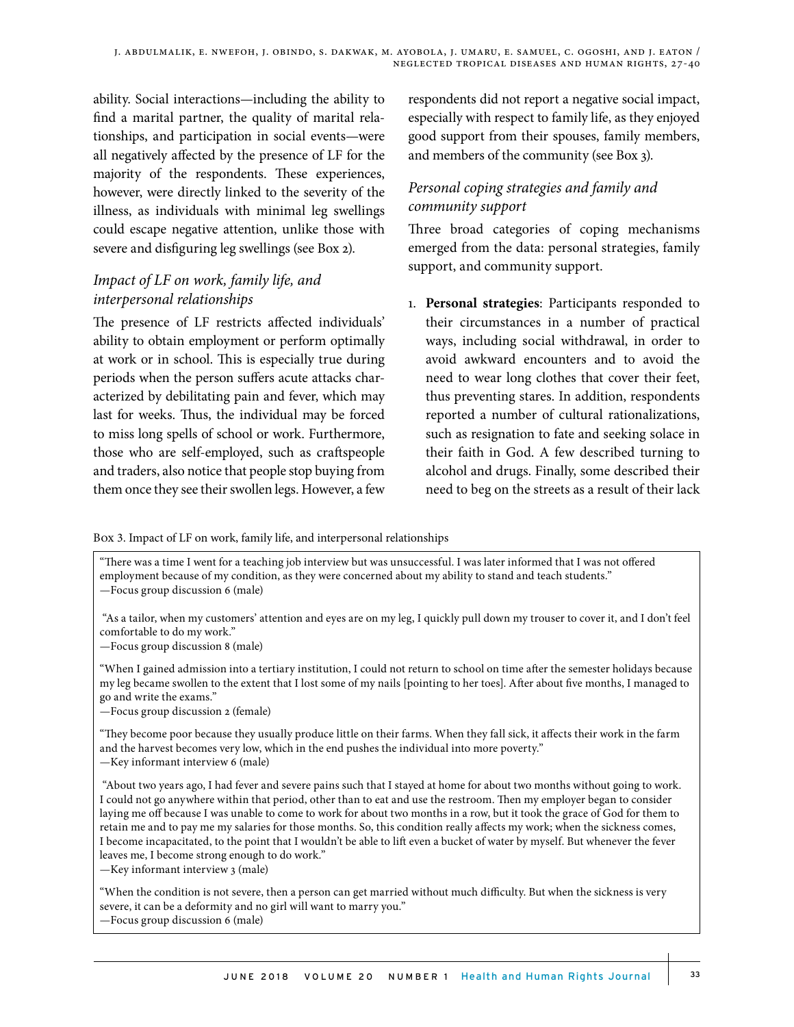ability. Social interactions—including the ability to find a marital partner, the quality of marital relationships, and participation in social events—were all negatively affected by the presence of LF for the majority of the respondents. These experiences, however, were directly linked to the severity of the illness, as individuals with minimal leg swellings could escape negative attention, unlike those with severe and disfiguring leg swellings (see Box 2).

# *Impact of LF on work, family life, and interpersonal relationships*

The presence of LF restricts affected individuals' ability to obtain employment or perform optimally at work or in school. This is especially true during periods when the person suffers acute attacks characterized by debilitating pain and fever, which may last for weeks. Thus, the individual may be forced to miss long spells of school or work. Furthermore, those who are self-employed, such as craftspeople and traders, also notice that people stop buying from them once they see their swollen legs. However, a few

respondents did not report a negative social impact, especially with respect to family life, as they enjoyed good support from their spouses, family members, and members of the community (see Box 3).

# *Personal coping strategies and family and community support*

Three broad categories of coping mechanisms emerged from the data: personal strategies, family support, and community support.

1. **Personal strategies**: Participants responded to their circumstances in a number of practical ways, including social withdrawal, in order to avoid awkward encounters and to avoid the need to wear long clothes that cover their feet, thus preventing stares. In addition, respondents reported a number of cultural rationalizations, such as resignation to fate and seeking solace in their faith in God. A few described turning to alcohol and drugs. Finally, some described their need to beg on the streets as a result of their lack

Box 3. Impact of LF on work, family life, and interpersonal relationships

"There was a time I went for a teaching job interview but was unsuccessful. I was later informed that I was not offered employment because of my condition, as they were concerned about my ability to stand and teach students." —Focus group discussion 6 (male)

 "As a tailor, when my customers' attention and eyes are on my leg, I quickly pull down my trouser to cover it, and I don't feel comfortable to do my work."

—Focus group discussion 8 (male)

"When I gained admission into a tertiary institution, I could not return to school on time after the semester holidays because my leg became swollen to the extent that I lost some of my nails [pointing to her toes]. After about five months, I managed to go and write the exams."

—Focus group discussion 2 (female)

"They become poor because they usually produce little on their farms. When they fall sick, it affects their work in the farm and the harvest becomes very low, which in the end pushes the individual into more poverty." —Key informant interview 6 (male)

 "About two years ago, I had fever and severe pains such that I stayed at home for about two months without going to work. I could not go anywhere within that period, other than to eat and use the restroom. Then my employer began to consider laying me off because I was unable to come to work for about two months in a row, but it took the grace of God for them to retain me and to pay me my salaries for those months. So, this condition really affects my work; when the sickness comes, I become incapacitated, to the point that I wouldn't be able to lift even a bucket of water by myself. But whenever the fever leaves me, I become strong enough to do work."

—Key informant interview 3 (male)

"When the condition is not severe, then a person can get married without much difficulty. But when the sickness is very severe, it can be a deformity and no girl will want to marry you." —Focus group discussion 6 (male)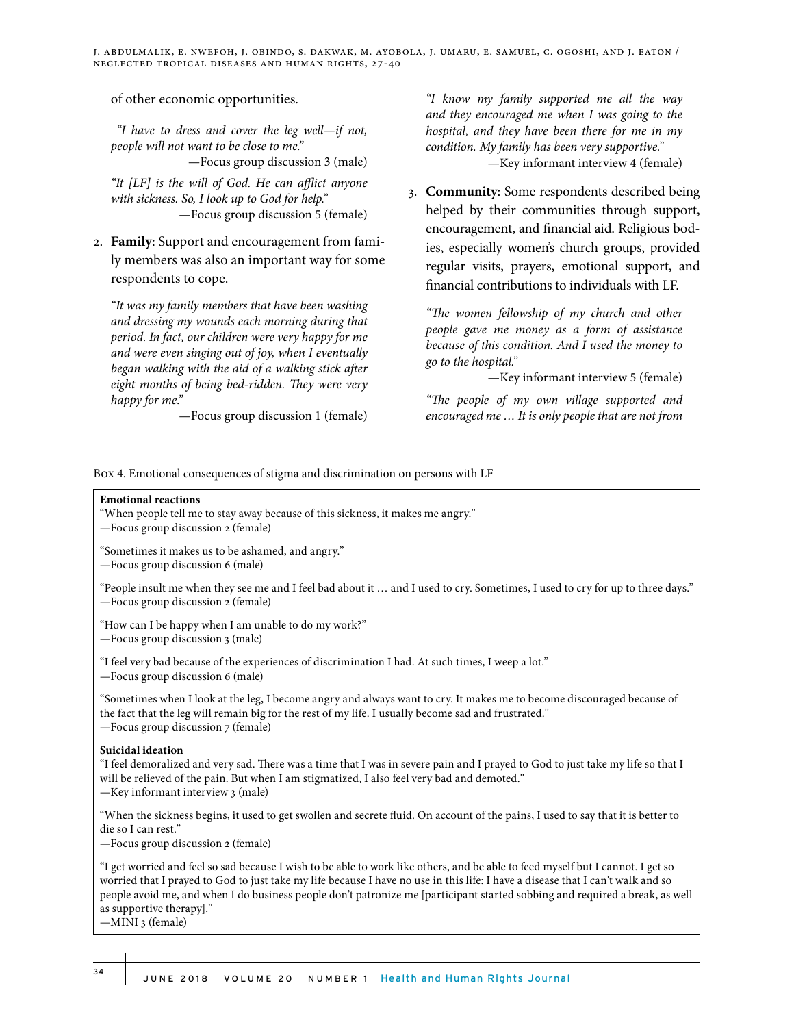of other economic opportunities.

 *"I have to dress and cover the leg well—if not, people will not want to be close to me."*

—Focus group discussion 3 (male)

*"It [LF] is the will of God. He can afflict anyone with sickness. So, I look up to God for help."* —Focus group discussion 5 (female)

2. **Family**: Support and encouragement from family members was also an important way for some respondents to cope.

*"It was my family members that have been washing and dressing my wounds each morning during that period. In fact, our children were very happy for me and were even singing out of joy, when I eventually began walking with the aid of a walking stick after eight months of being bed-ridden. They were very happy for me."*

—Focus group discussion 1 (female)

*"I know my family supported me all the way and they encouraged me when I was going to the hospital, and they have been there for me in my condition. My family has been very supportive."* —Key informant interview 4 (female)

3. **Community**: Some respondents described being helped by their communities through support, encouragement, and financial aid. Religious bodies, especially women's church groups, provided regular visits, prayers, emotional support, and financial contributions to individuals with LF.

*"The women fellowship of my church and other people gave me money as a form of assistance because of this condition. And I used the money to go to the hospital."*

—Key informant interview 5 (female)

*"The people of my own village supported and encouraged me … It is only people that are not from* 

Box 4. Emotional consequences of stigma and discrimination on persons with LF

#### **Emotional reactions**

"When people tell me to stay away because of this sickness, it makes me angry."

—Focus group discussion 2 (female)

"Sometimes it makes us to be ashamed, and angry."

—Focus group discussion 6 (male)

"People insult me when they see me and I feel bad about it … and I used to cry. Sometimes, I used to cry for up to three days." —Focus group discussion 2 (female)

"How can I be happy when I am unable to do my work?"

—Focus group discussion 3 (male)

"I feel very bad because of the experiences of discrimination I had. At such times, I weep a lot."

—Focus group discussion 6 (male)

"Sometimes when I look at the leg, I become angry and always want to cry. It makes me to become discouraged because of the fact that the leg will remain big for the rest of my life. I usually become sad and frustrated." —Focus group discussion 7 (female)

#### **Suicidal ideation**

"I feel demoralized and very sad. There was a time that I was in severe pain and I prayed to God to just take my life so that I will be relieved of the pain. But when I am stigmatized, I also feel very bad and demoted." —Key informant interview 3 (male)

"When the sickness begins, it used to get swollen and secrete fluid. On account of the pains, I used to say that it is better to die so I can rest."

—Focus group discussion 2 (female)

"I get worried and feel so sad because I wish to be able to work like others, and be able to feed myself but I cannot. I get so worried that I prayed to God to just take my life because I have no use in this life: I have a disease that I can't walk and so people avoid me, and when I do business people don't patronize me [participant started sobbing and required a break, as well as supportive therapy]."

—MINI 3 (female)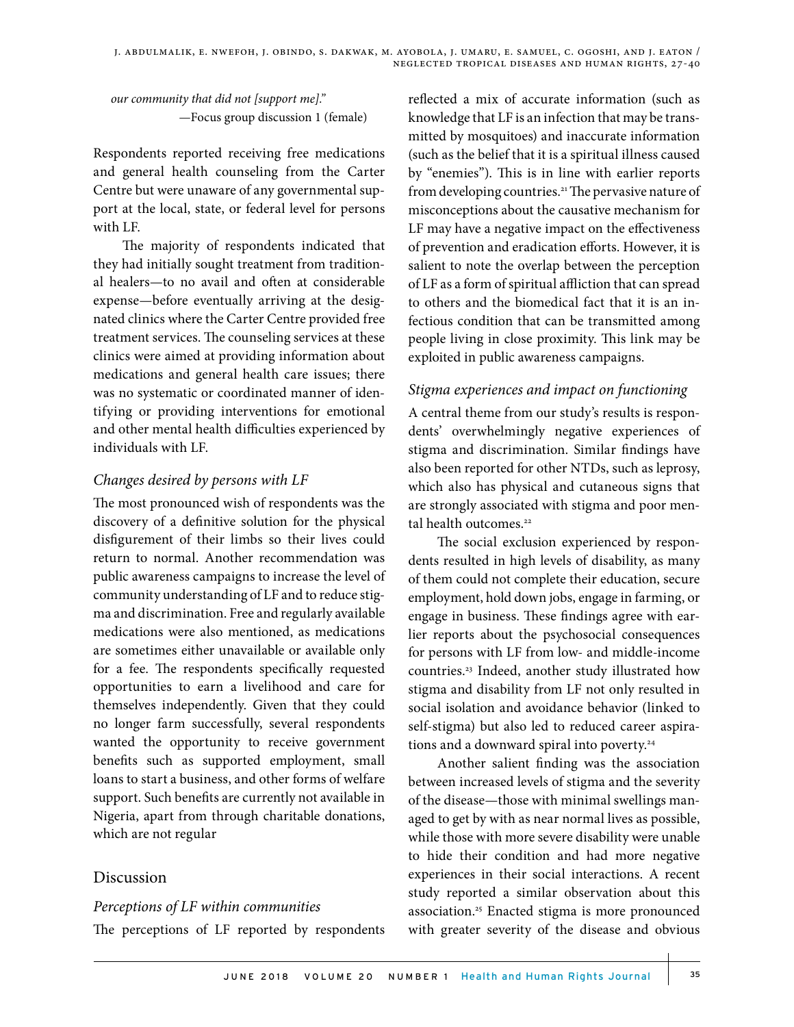*our community that did not [support me]."* —Focus group discussion 1 (female)

Respondents reported receiving free medications and general health counseling from the Carter Centre but were unaware of any governmental support at the local, state, or federal level for persons with LF.

The majority of respondents indicated that they had initially sought treatment from traditional healers—to no avail and often at considerable expense—before eventually arriving at the designated clinics where the Carter Centre provided free treatment services. The counseling services at these clinics were aimed at providing information about medications and general health care issues; there was no systematic or coordinated manner of identifying or providing interventions for emotional and other mental health difficulties experienced by individuals with LF.

### *Changes desired by persons with LF*

The most pronounced wish of respondents was the discovery of a definitive solution for the physical disfigurement of their limbs so their lives could return to normal. Another recommendation was public awareness campaigns to increase the level of community understanding of LF and to reduce stigma and discrimination. Free and regularly available medications were also mentioned, as medications are sometimes either unavailable or available only for a fee. The respondents specifically requested opportunities to earn a livelihood and care for themselves independently. Given that they could no longer farm successfully, several respondents wanted the opportunity to receive government benefits such as supported employment, small loans to start a business, and other forms of welfare support. Such benefits are currently not available in Nigeria, apart from through charitable donations, which are not regular

# Discussion

### *Perceptions of LF within communities*

The perceptions of LF reported by respondents

reflected a mix of accurate information (such as knowledge that LF is an infection that may be transmitted by mosquitoes) and inaccurate information (such as the belief that it is a spiritual illness caused by "enemies"). This is in line with earlier reports from developing countries.<sup>21</sup> The pervasive nature of misconceptions about the causative mechanism for LF may have a negative impact on the effectiveness of prevention and eradication efforts. However, it is salient to note the overlap between the perception of LF as a form of spiritual affliction that can spread to others and the biomedical fact that it is an infectious condition that can be transmitted among people living in close proximity. This link may be exploited in public awareness campaigns.

# *Stigma experiences and impact on functioning*

A central theme from our study's results is respondents' overwhelmingly negative experiences of stigma and discrimination. Similar findings have also been reported for other NTDs, such as leprosy, which also has physical and cutaneous signs that are strongly associated with stigma and poor mental health outcomes.<sup>22</sup>

The social exclusion experienced by respondents resulted in high levels of disability, as many of them could not complete their education, secure employment, hold down jobs, engage in farming, or engage in business. These findings agree with earlier reports about the psychosocial consequences for persons with LF from low- and middle-income countries.23 Indeed, another study illustrated how stigma and disability from LF not only resulted in social isolation and avoidance behavior (linked to self-stigma) but also led to reduced career aspirations and a downward spiral into poverty.24

Another salient finding was the association between increased levels of stigma and the severity of the disease—those with minimal swellings managed to get by with as near normal lives as possible, while those with more severe disability were unable to hide their condition and had more negative experiences in their social interactions. A recent study reported a similar observation about this association.25 Enacted stigma is more pronounced with greater severity of the disease and obvious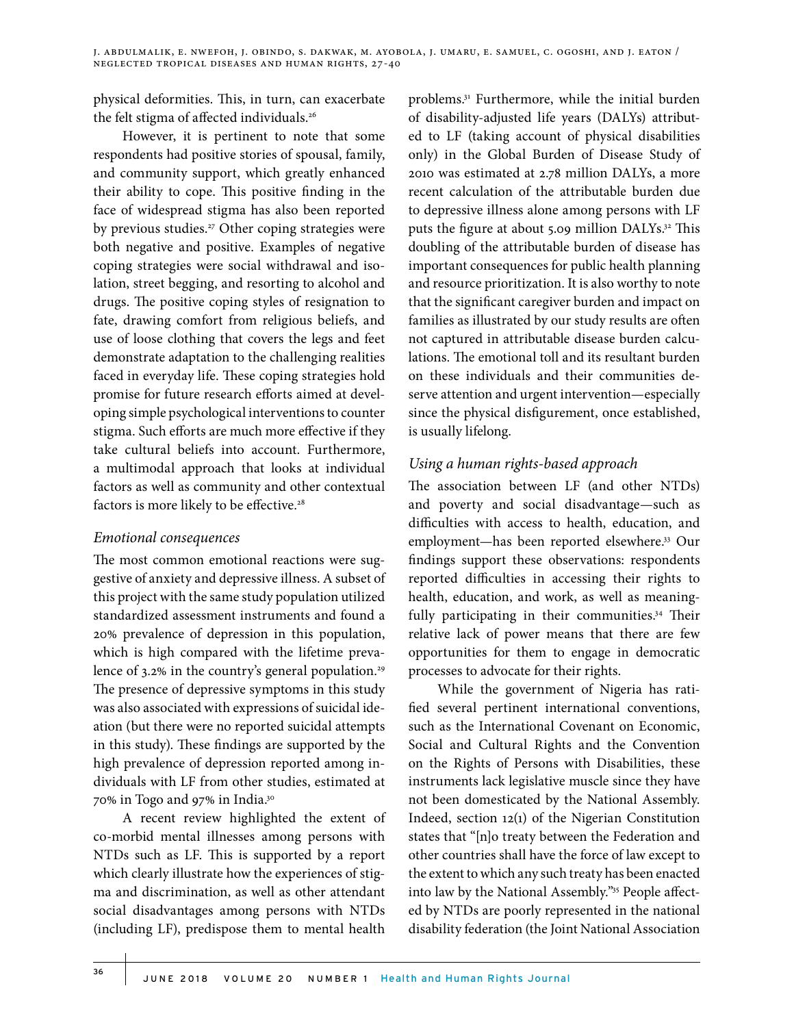physical deformities. This, in turn, can exacerbate the felt stigma of affected individuals.<sup>26</sup>

However, it is pertinent to note that some respondents had positive stories of spousal, family, and community support, which greatly enhanced their ability to cope. This positive finding in the face of widespread stigma has also been reported by previous studies.<sup>27</sup> Other coping strategies were both negative and positive. Examples of negative coping strategies were social withdrawal and isolation, street begging, and resorting to alcohol and drugs. The positive coping styles of resignation to fate, drawing comfort from religious beliefs, and use of loose clothing that covers the legs and feet demonstrate adaptation to the challenging realities faced in everyday life. These coping strategies hold promise for future research efforts aimed at developing simple psychological interventions to counter stigma. Such efforts are much more effective if they take cultural beliefs into account. Furthermore, a multimodal approach that looks at individual factors as well as community and other contextual factors is more likely to be effective.<sup>28</sup>

### *Emotional consequences*

The most common emotional reactions were suggestive of anxiety and depressive illness. A subset of this project with the same study population utilized standardized assessment instruments and found a 20% prevalence of depression in this population, which is high compared with the lifetime prevalence of  $3.2\%$  in the country's general population.<sup>29</sup> The presence of depressive symptoms in this study was also associated with expressions of suicidal ideation (but there were no reported suicidal attempts in this study). These findings are supported by the high prevalence of depression reported among individuals with LF from other studies, estimated at 70% in Togo and 97% in India.30

A recent review highlighted the extent of co-morbid mental illnesses among persons with NTDs such as LF. This is supported by a report which clearly illustrate how the experiences of stigma and discrimination, as well as other attendant social disadvantages among persons with NTDs (including LF), predispose them to mental health

problems.31 Furthermore, while the initial burden of disability-adjusted life years (DALYs) attributed to LF (taking account of physical disabilities only) in the Global Burden of Disease Study of 2010 was estimated at 2.78 million DALYs, a more recent calculation of the attributable burden due to depressive illness alone among persons with LF puts the figure at about 5.09 million DALYs.<sup>32</sup> This doubling of the attributable burden of disease has important consequences for public health planning and resource prioritization. It is also worthy to note that the significant caregiver burden and impact on families as illustrated by our study results are often not captured in attributable disease burden calculations. The emotional toll and its resultant burden on these individuals and their communities deserve attention and urgent intervention—especially since the physical disfigurement, once established, is usually lifelong.

# *Using a human rights-based approach*

The association between LF (and other NTDs) and poverty and social disadvantage—such as difficulties with access to health, education, and employment—has been reported elsewhere.33 Our findings support these observations: respondents reported difficulties in accessing their rights to health, education, and work, as well as meaningfully participating in their communities.<sup>34</sup> Their relative lack of power means that there are few opportunities for them to engage in democratic processes to advocate for their rights.

While the government of Nigeria has ratified several pertinent international conventions, such as the International Covenant on Economic, Social and Cultural Rights and the Convention on the Rights of Persons with Disabilities, these instruments lack legislative muscle since they have not been domesticated by the National Assembly. Indeed, section 12(1) of the Nigerian Constitution states that "[n]o treaty between the Federation and other countries shall have the force of law except to the extent to which any such treaty has been enacted into law by the National Assembly."35 People affected by NTDs are poorly represented in the national disability federation (the Joint National Association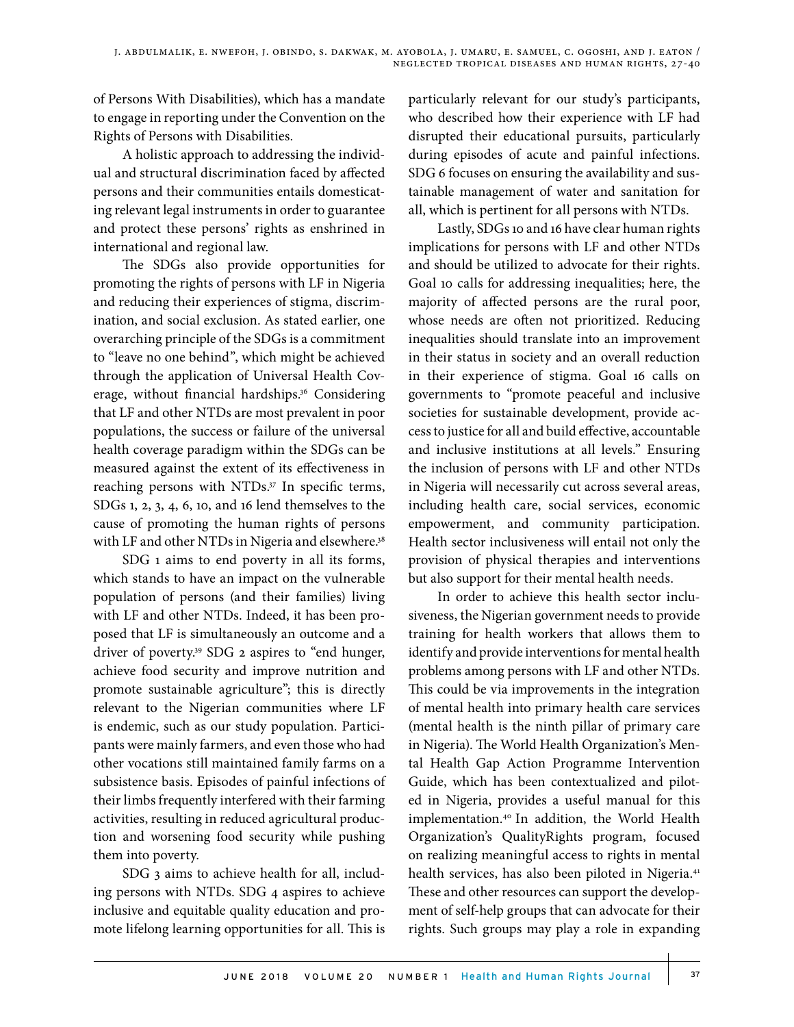of Persons With Disabilities), which has a mandate to engage in reporting under the Convention on the Rights of Persons with Disabilities.

A holistic approach to addressing the individual and structural discrimination faced by affected persons and their communities entails domesticating relevant legal instruments in order to guarantee and protect these persons' rights as enshrined in international and regional law.

The SDGs also provide opportunities for promoting the rights of persons with LF in Nigeria and reducing their experiences of stigma, discrimination, and social exclusion. As stated earlier, one overarching principle of the SDGs is a commitment to "leave no one behind", which might be achieved through the application of Universal Health Coverage, without financial hardships.<sup>36</sup> Considering that LF and other NTDs are most prevalent in poor populations, the success or failure of the universal health coverage paradigm within the SDGs can be measured against the extent of its effectiveness in reaching persons with NTDs.<sup>37</sup> In specific terms, SDGs 1, 2, 3, 4, 6, 10, and 16 lend themselves to the cause of promoting the human rights of persons with LF and other NTDs in Nigeria and elsewhere.<sup>38</sup>

SDG 1 aims to end poverty in all its forms, which stands to have an impact on the vulnerable population of persons (and their families) living with LF and other NTDs. Indeed, it has been proposed that LF is simultaneously an outcome and a driver of poverty.39 SDG 2 aspires to "end hunger, achieve food security and improve nutrition and promote sustainable agriculture"; this is directly relevant to the Nigerian communities where LF is endemic, such as our study population. Participants were mainly farmers, and even those who had other vocations still maintained family farms on a subsistence basis. Episodes of painful infections of their limbs frequently interfered with their farming activities, resulting in reduced agricultural production and worsening food security while pushing them into poverty.

SDG 3 aims to achieve health for all, including persons with NTDs. SDG 4 aspires to achieve inclusive and equitable quality education and promote lifelong learning opportunities for all. This is particularly relevant for our study's participants, who described how their experience with LF had disrupted their educational pursuits, particularly during episodes of acute and painful infections. SDG 6 focuses on ensuring the availability and sustainable management of water and sanitation for all, which is pertinent for all persons with NTDs.

Lastly, SDGs 10 and 16 have clear human rights implications for persons with LF and other NTDs and should be utilized to advocate for their rights. Goal 10 calls for addressing inequalities; here, the majority of affected persons are the rural poor, whose needs are often not prioritized. Reducing inequalities should translate into an improvement in their status in society and an overall reduction in their experience of stigma. Goal 16 calls on governments to "promote peaceful and inclusive societies for sustainable development, provide access to justice for all and build effective, accountable and inclusive institutions at all levels." Ensuring the inclusion of persons with LF and other NTDs in Nigeria will necessarily cut across several areas, including health care, social services, economic empowerment, and community participation. Health sector inclusiveness will entail not only the provision of physical therapies and interventions but also support for their mental health needs.

In order to achieve this health sector inclusiveness, the Nigerian government needs to provide training for health workers that allows them to identify and provide interventions for mental health problems among persons with LF and other NTDs. This could be via improvements in the integration of mental health into primary health care services (mental health is the ninth pillar of primary care in Nigeria). The World Health Organization's Mental Health Gap Action Programme Intervention Guide, which has been contextualized and piloted in Nigeria, provides a useful manual for this implementation.40 In addition, the World Health Organization's QualityRights program, focused on realizing meaningful access to rights in mental health services, has also been piloted in Nigeria.<sup>41</sup> These and other resources can support the development of self-help groups that can advocate for their rights. Such groups may play a role in expanding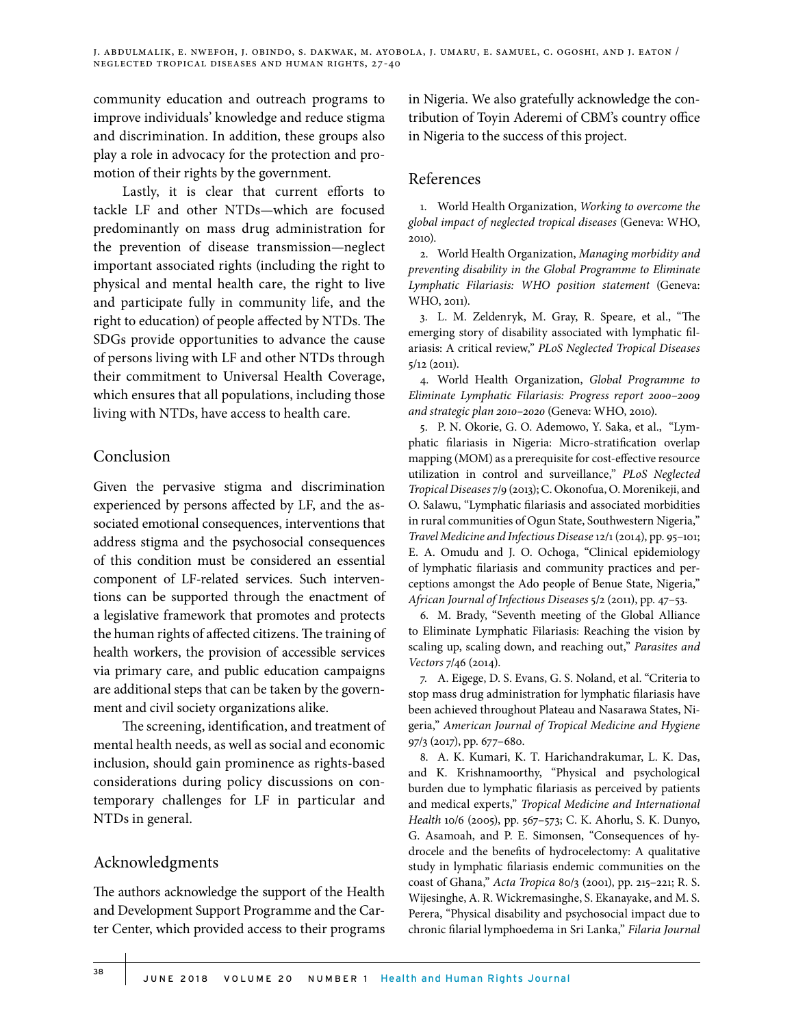community education and outreach programs to improve individuals' knowledge and reduce stigma and discrimination. In addition, these groups also play a role in advocacy for the protection and promotion of their rights by the government.

Lastly, it is clear that current efforts to tackle LF and other NTDs—which are focused predominantly on mass drug administration for the prevention of disease transmission—neglect important associated rights (including the right to physical and mental health care, the right to live and participate fully in community life, and the right to education) of people affected by NTDs. The SDGs provide opportunities to advance the cause of persons living with LF and other NTDs through their commitment to Universal Health Coverage, which ensures that all populations, including those living with NTDs, have access to health care.

# Conclusion

Given the pervasive stigma and discrimination experienced by persons affected by LF, and the associated emotional consequences, interventions that address stigma and the psychosocial consequences of this condition must be considered an essential component of LF-related services. Such interventions can be supported through the enactment of a legislative framework that promotes and protects the human rights of affected citizens. The training of health workers, the provision of accessible services via primary care, and public education campaigns are additional steps that can be taken by the government and civil society organizations alike.

The screening, identification, and treatment of mental health needs, as well as social and economic inclusion, should gain prominence as rights-based considerations during policy discussions on contemporary challenges for LF in particular and NTDs in general.

# Acknowledgments

The authors acknowledge the support of the Health and Development Support Programme and the Carter Center, which provided access to their programs in Nigeria. We also gratefully acknowledge the contribution of Toyin Aderemi of CBM's country office in Nigeria to the success of this project.

#### References

1. World Health Organization, *Working to overcome the global impact of neglected tropical diseases* (Geneva: WHO, 2010).

2. World Health Organization, *Managing morbidity and preventing disability in the Global Programme to Eliminate Lymphatic Filariasis: WHO position statement* (Geneva: WHO, 2011).

3. L. M. Zeldenryk, M. Gray, R. Speare, et al., "The emerging story of disability associated with lymphatic filariasis: A critical review," *PLoS Neglected Tropical Diseases* 5/12 (2011).

4. World Health Organization, *Global Programme to Eliminate Lymphatic Filariasis: Progress report 2000–2009 and strategic plan 2010–2020* (Geneva: WHO, 2010).

5. P. N. Okorie, G. O. Ademowo, Y. Saka, et al., "Lymphatic filariasis in Nigeria: Micro-stratification overlap mapping (MOM) as a prerequisite for cost-effective resource utilization in control and surveillance," *PLoS Neglected Tropical Diseases* 7/9 (2013); C. Okonofua, O. Morenikeji, and O. Salawu, "Lymphatic filariasis and associated morbidities in rural communities of Ogun State, Southwestern Nigeria," *Travel Medicine and Infectious Disease* 12/1 (2014), pp. 95–101; E. A. Omudu and J. O. Ochoga, "Clinical epidemiology of lymphatic filariasis and community practices and perceptions amongst the Ado people of Benue State, Nigeria," *African Journal of Infectious Diseases* 5/2 (2011), pp. 47–53.

6. M. Brady, "Seventh meeting of the Global Alliance to Eliminate Lymphatic Filariasis: Reaching the vision by scaling up, scaling down, and reaching out," *Parasites and Vectors* 7/46 (2014).

7. A. Eigege, D. S. Evans, G. S. Noland, et al. "Criteria to stop mass drug administration for lymphatic filariasis have been achieved throughout Plateau and Nasarawa States, Nigeria," *American Journal of Tropical Medicine and Hygiene* 97/3 (2017), pp. 677–680.

8. A. K. Kumari, K. T. Harichandrakumar, L. K. Das, and K. Krishnamoorthy, "Physical and psychological burden due to lymphatic filariasis as perceived by patients and medical experts," *Tropical Medicine and International Health* 10/6 (2005), pp. 567–573; C. K. Ahorlu, S. K. Dunyo, G. Asamoah, and P. E. Simonsen, "Consequences of hydrocele and the benefits of hydrocelectomy: A qualitative study in lymphatic filariasis endemic communities on the coast of Ghana," *Acta Tropica* 80/3 (2001), pp. 215–221; R. S. Wijesinghe, A. R. Wickremasinghe, S. Ekanayake, and M. S. Perera, "Physical disability and psychosocial impact due to chronic filarial lymphoedema in Sri Lanka," *Filaria Journal*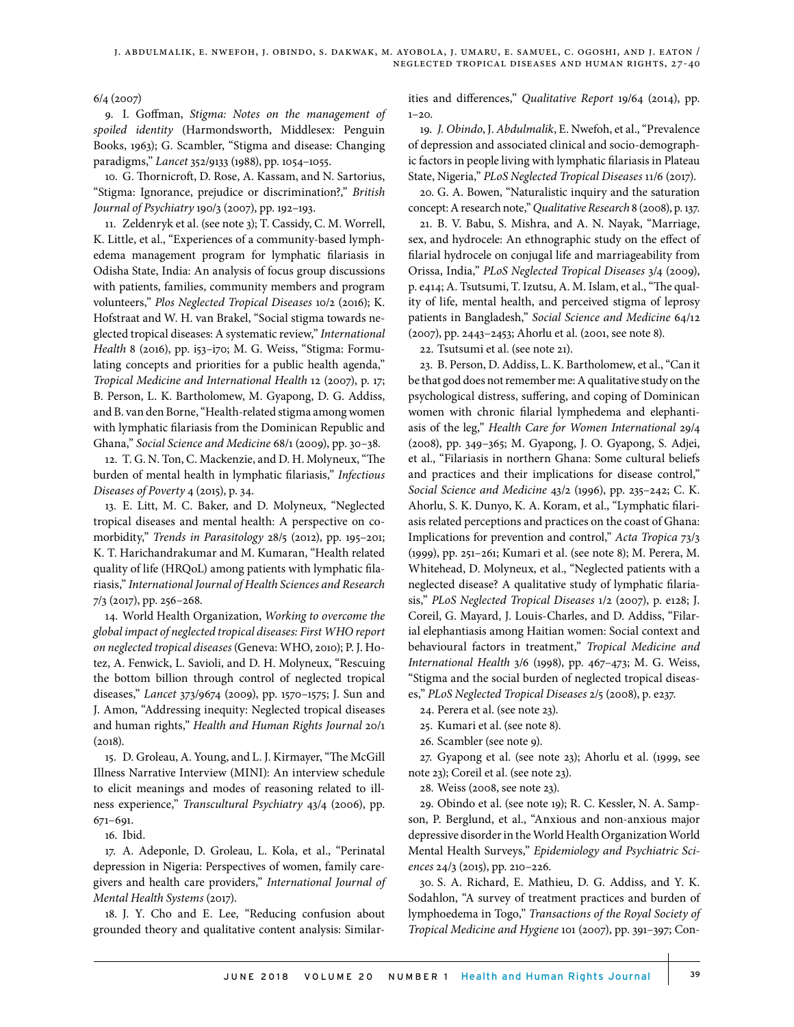6/4 (2007)

9. I. Goffman, *Stigma: Notes on the management of spoiled identity* (Harmondsworth, Middlesex: Penguin Books, 1963); G. Scambler, "Stigma and disease: Changing paradigms," *Lancet* 352/9133 (1988), pp. 1054–1055.

10. G. Thornicroft, D. Rose, A. Kassam, and N. Sartorius, "Stigma: Ignorance, prejudice or discrimination?," *British Journal of Psychiatry* 190/3 (2007), pp. 192–193.

11. Zeldenryk et al. (see note 3); T. Cassidy, C. M. Worrell, K. Little, et al., "Experiences of a community-based lymphedema management program for lymphatic filariasis in Odisha State, India: An analysis of focus group discussions with patients, families, community members and program volunteers," *Plos Neglected Tropical Diseases* 10/2 (2016); K. Hofstraat and W. H. van Brakel, "Social stigma towards neglected tropical diseases: A systematic review," *International Health* 8 (2016), pp. i53–i70; M. G. Weiss, "Stigma: Formulating concepts and priorities for a public health agenda," *Tropical Medicine and International Health* 12 (2007), p. 17; B. Person, L. K. Bartholomew, M. Gyapong, D. G. Addiss, and B. van den Borne, "Health-related stigma among women with lymphatic filariasis from the Dominican Republic and Ghana," *Social Science and Medicine* 68/1 (2009), pp. 30–38.

12. T. G. N. Ton, C. Mackenzie, and D. H. Molyneux, "The burden of mental health in lymphatic filariasis," *Infectious Diseases of Poverty* 4 (2015), p. 34.

13. E. Litt, M. C. Baker, and D. Molyneux, "Neglected tropical diseases and mental health: A perspective on comorbidity," *Trends in Parasitology* 28/5 (2012), pp. 195–201; K. T. Harichandrakumar and M. Kumaran, "Health related quality of life (HRQoL) among patients with lymphatic filariasis," *International Journal of Health Sciences and Research* 7/3 (2017), pp. 256–268.

14. World Health Organization, *Working to overcome the global impact of neglected tropical diseases: First WHO report on neglected tropical diseases* (Geneva: WHO, 2010); P. J. Hotez, A. Fenwick, L. Savioli, and D. H. Molyneux, "Rescuing the bottom billion through control of neglected tropical diseases," *Lancet* 373/9674 (2009), pp. 1570–1575; J. Sun and J. Amon, "Addressing inequity: Neglected tropical diseases and human rights," *Health and Human Rights Journal* 20/1 (2018).

15. D. Groleau, A. Young, and L. J. Kirmayer, "The McGill Illness Narrative Interview (MINI): An interview schedule to elicit meanings and modes of reasoning related to illness experience," *Transcultural Psychiatry* 43/4 (2006), pp. 671–691.

16. Ibid.

17. A. Adeponle, D. Groleau, L. Kola, et al., "Perinatal depression in Nigeria: Perspectives of women, family caregivers and health care providers," *International Journal of Mental Health Systems* (2017).

18. J. Y. Cho and E. Lee, "Reducing confusion about grounded theory and qualitative content analysis: Similarities and differences," *Qualitative Report* 19/64 (2014), pp.  $1 - 20.$ 

19. *J. Obindo*, J. *Abdulmalik*, E. Nwefoh, et al., "Prevalence of depression and associated clinical and socio-demographic factors in people living with lymphatic filariasis in Plateau State, Nigeria," *PLoS Neglected Tropical Diseases* 11/6 (2017).

20. G. A. Bowen, "Naturalistic inquiry and the saturation concept: A research note," *Qualitative Research* 8 (2008), p. 137.

21. B. V. Babu, S. Mishra, and A. N. Nayak, "Marriage, sex, and hydrocele: An ethnographic study on the effect of filarial hydrocele on conjugal life and marriageability from Orissa, India," *PLoS Neglected Tropical Diseases* 3/4 (2009), p. e414; A. Tsutsumi, T. Izutsu, A. M. Islam, et al., "The quality of life, mental health, and perceived stigma of leprosy patients in Bangladesh," *Social Science and Medicine* 64/12 (2007), pp. 2443–2453; Ahorlu et al. (2001, see note 8).

22. Tsutsumi et al. (see note 21).

23. B. Person, D. Addiss, L. K. Bartholomew, et al., "Can it be that god does not remember me: A qualitative study on the psychological distress, suffering, and coping of Dominican women with chronic filarial lymphedema and elephantiasis of the leg," *Health Care for Women International* 29/4 (2008), pp. 349–365; M. Gyapong, J. O. Gyapong, S. Adjei, et al., "Filariasis in northern Ghana: Some cultural beliefs and practices and their implications for disease control," *Social Science and Medicine* 43/2 (1996), pp. 235–242; C. K. Ahorlu, S. K. Dunyo, K. A. Koram, et al., "Lymphatic filariasis related perceptions and practices on the coast of Ghana: Implications for prevention and control," *Acta Tropica* 73/3 (1999), pp. 251–261; Kumari et al. (see note 8); M. Perera, M. Whitehead, D. Molyneux, et al., "Neglected patients with a neglected disease? A qualitative study of lymphatic filariasis," *PLoS Neglected Tropical Diseases* 1/2 (2007), p. e128; J. Coreil, G. Mayard, J. Louis-Charles, and D. Addiss, "Filarial elephantiasis among Haitian women: Social context and behavioural factors in treatment," *Tropical Medicine and International Health* 3/6 (1998), pp. 467–473; M. G. Weiss, "Stigma and the social burden of neglected tropical diseases," *PLoS Neglected Tropical Diseases* 2/5 (2008), p. e237.

24. Perera et al. (see note 23).

25. Kumari et al. (see note 8).

26. Scambler (see note 9).

27. Gyapong et al. (see note 23); Ahorlu et al. (1999, see note 23); Coreil et al. (see note 23).

28. Weiss (2008, see note 23).

29. Obindo et al. (see note 19); R. C. Kessler, N. A. Sampson, P. Berglund, et al., "Anxious and non-anxious major depressive disorder in the World Health Organization World Mental Health Surveys," *Epidemiology and Psychiatric Sciences* 24/3 (2015), pp. 210–226.

30. S. A. Richard, E. Mathieu, D. G. Addiss, and Y. K. Sodahlon, "A survey of treatment practices and burden of lymphoedema in Togo," *Transactions of the Royal Society of Tropical Medicine and Hygiene* 101 (2007), pp. 391–397; Con